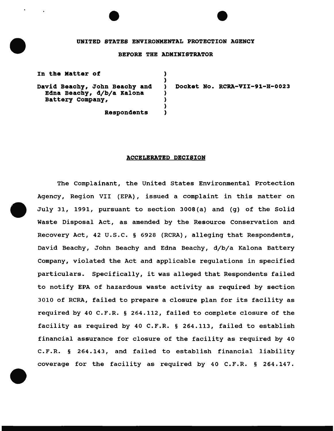## UNITED STATES ENVIRONMENTAL PROTECTION AGENCY

## BEFORE THE ADMINISTRATOR

) )

) ) ) )

David Beachy, John Beachy and Edna Beachy, d/b/a Kalona Battery Company,

In the Matter of

) Docket No. RCRA-VII-91-H-0023

Respondents

## ACCELERATED DECISION

The Complainant, the United states Environmental Protection Agency, Region VII (EPA), issued a complaint in this matter on July 31, 1991, pursuant to section 3008(a) and (g) of the Solid Waste Disposal Act, as amended by the Resource Conservation and Recovery Act, 42 U.S.C. § 6928 (RCRA), alleging that Respondents, David Beachy, John Beachy and Edna Beachy, d/b/a Kalona Battery Company, violated the Act and applicable regulations in specified particulars. Specifically, it was alleged that Respondents failed to notify EPA of hazardous waste activity as required by section 3010 of RCRA, failed to prepare a closure plan for its facility as required by 40 C.F.R. § 264.112, failed to complete closure of the facility as required by 40 C.F.R. § 264.113, failed to establish financial assurance for closure of the facility as required by 40 C.F.R. § 264.143, and failed to establish financial liability coverage for the facility as required by 40 C.F.R. § 264.147.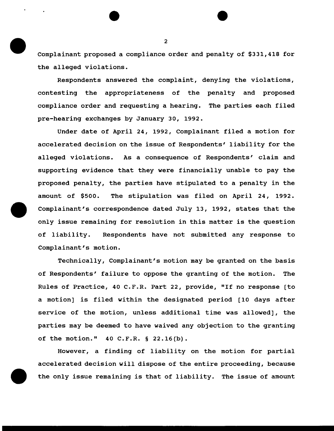Complainant proposed a compliance order and penalty of \$331,418 for the alleged violations.

Respondents answered the complaint, denying the violations, contesting the appropriateness of the penalty and proposed compliance order and requesting a hearing. The parties each filed pre-hearing exchanges by January 30, 1992.

Under date of April 24, 1992, Complainant filed a motion for accelerated decision on the issue of Respondents' liability for the alleged violations. As a consequence of Respondents' claim and supporting evidence that they were financially unable to pay the proposed penalty, the parties have stipulated to a penalty in the amount of \$500. The stipulation was filed on April 24, 1992. Complainant's correspondence dated July 13, 1992, states that the only issue remaining for resolution in this matter is the question of liability. Respondents have not submitted any response to Complainant's motion.

Technically, Complainant's motion may be granted on the basis of Respondents' failure to oppose the granting of the motion. The Rules of Practice, 40 C.P.R. Part 22, provide, "If no response [to a motion] is filed within the designated period [10 days after service of the motion, unless additional time was allowed], the parties may be deemed to have waived any objection to the granting of the motion." 40 C.P.R. § 22.16(b).

However, a finding of liability on the motion for partial accelerated decision will dispose of the entire proceeding, because the only issue remaining is that of liability. The issue of amount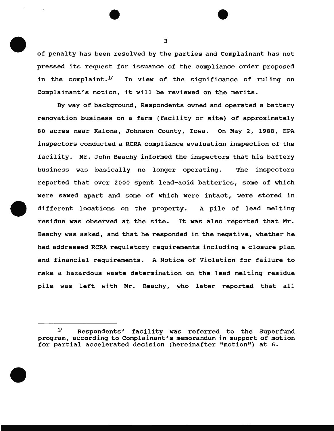of penalty has been resolved by the parties and Complainant has not pressed its request for issuance of the compliance order proposed in the complaint. $1/2$  In view of the significance of ruling on Complainant's motion, it will be reviewed on the merits.

By way of background, Respondents owned and operated a battery renovation business on a farm (facility or site) of approximately 80 acres near Kalona, Johnson County, Iowa. On May 2, 1988, EPA inspectors conducted a RCRA compliance evaluation inspection of the facility. Mr. John Beachy informed the inspectors that his battery business was basically no longer operating. The inspectors reported that over 2000 spent lead-acid batteries, some of which were sawed apart and some of which were intact, were stored in different locations on the property. A pile of lead melting residue was observed at the site. It was also reported that Mr. Beachy was asked, and that he responded in the negative, whether he had addressed RCRA regulatory requirements including a closure plan and financial requirements. A Notice of Violation for failure to make a hazardous waste determination on the lead melting residue pile was left with Mr. Beachy, who later reported that all

 $1$  Respondents' facility was referred to the Superfund program, according to Complainant's memorandum in support of motion for partial accelerated decision (hereinafter "motion") at 6.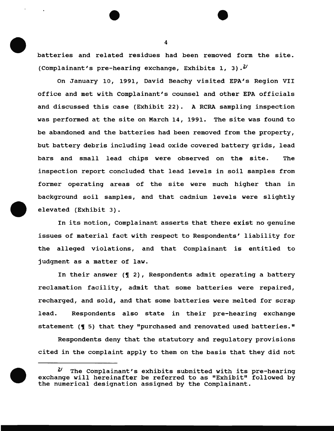batteries and related residues had been removed form the site. (Complainant's pre-hearing exchange, Exhibits 1, 3).<sup>2/</sup>

On January 10, 1991, David Beachy visited EPA's Region VII office and met with Complainant's counsel and other EPA officials and discussed this case (Exhibit 22). A RCRA sampling inspection was performed at the site on March 14, 1991. The site was found to be abandoned and the batteries had been removed from the property, but battery debris including lead oxide covered battery grids, lead bars and small lead chips were observed on the site. The inspection report concluded that lead levels in soil samples from former operating areas of the site were much higher than in background soil samples, and that cadmium levels were slightly elevated (Exhibit 3).

In its motion, Complainant asserts that there exist no genuine issues of material fact with respect to Respondents' liability for the alleged violations, and that Complainant is entitled to judgment as a matter of law.

In their answer  $(\P 2)$ , Respondents admit operating a battery reclamation facility, admit that some batteries were repaired, recharged, and sold, and that some batteries were melted for scrap lead. Respondents also state in their pre-hearing exchange statement (¶ 5) that they "purchased and renovated used batteries."

Respondents deny that the statutory and regulatory provisions cited in the complaint apply to them on the basis that they did not



 $1/2$  The Complainant's exhibits submitted with its pre-hearing exchange will hereinafter be referred to as "Exhibit" followed by the numerical designation assigned by the Complainant.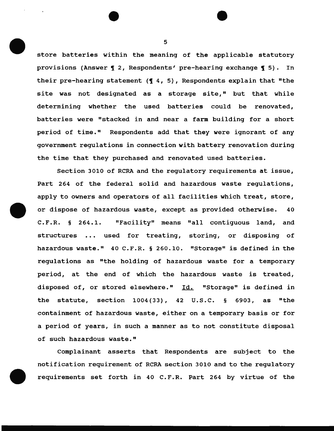store batteries within the meaning of the applicable statutory provisions (Answer  $\sqrt{q}$  2, Respondents' pre-hearing exchange  $\sqrt{q}$  5). In their pre-hearing statement  $(4, 5)$ , Respondents explain that "the site was not designated as a storage site," but that while determining whether the used batteries could be renovated, batteries were "stacked in and near a farm building for a short period of time." Respondents add that they were ignorant of any government regulations in connection with battery renovation during the time that they purchased and renovated used batteries.

Section 3010 of RCRA and the regulatory requirements at issue, Part 264 of the federal solid and hazardous waste regulations, apply to owners and operators of all facilities which treat, store, or dispose of hazardous waste, except as provided otherwise. 40 C.F.R. § 264.1. "Facility" means "all contiguous land, and structures ... used for treating, storing, or disposing of hazardous waste." 40 C.F.R. § 260.10. "Storage" is defined in the regulations as "the holding of hazardous waste for a temporary period, at the end of which the hazardous waste is treated, disposed of, or stored elsewhere." Id. "Storage" is defined in the statute, section  $1004(33)$ , 42 U.S.C. § 6903, as "the containment of hazardous waste, either on a temporary basis or for a period of years, in such a manner as to not constitute disposal of such hazardous waste."

Complainant asserts that Respondents are subject to the notification requirement of RCRA section 3010 and to the regulatory requirements set forth in 40 C.F.R. Part 264 by virtue of the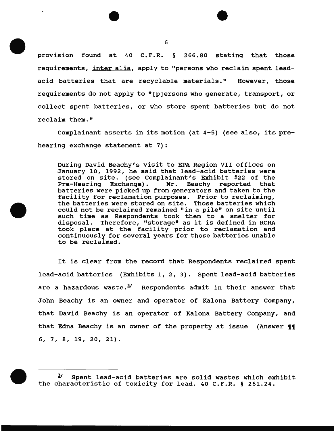provision found at 40 C.F.R. § 266.80 stating that those requirements, inter alia, apply to "persons who reclaim spent leadacid batteries that are recyclable materials." However, those requirements do not apply to " [ p] ersons who generate, transport, or collect spent batteries, or who store spent batteries but do not reclaim them."

Complainant asserts in its motion (at 4-5) (see also, its prehearing exchange statement at 7):

During David Beachy's visit to EPA Region VII offices on January 10, 1992, he said that lead-acid batteries were stored on site. (see Complainant's Exhibit #22 of the<br>Pre-Hearing Exchange). Mr. Beachy reported that Beachy reported that batteries were picked up from generators and taken to the facility for reclamation purposes. Prior to reclaiming, the batteries were stored on site. Those batteries which could not be reclaimed remained "in a pile" on site until such time as Respondents took them to a smelter for disposal. Therefore, "storage" as it is defined in RCRA took place at the facility prior to reclamation and continuously for several years for those batteries unable to be reclaimed.

It is clear from the record that Respondents reclaimed spent lead-acid batteries (Exhibits 1, 2, 3). Spent lead-acid batteries are a hazardous waste. $3/$  Respondents admit in their answer that John Beachy is an owner and operator of Kalona Battery Company, that David Beachy is an operator of Kalona Battery Company, and that Edna Beachy is an owner of the property at issue (Answer  $\{ \}$ 6, 7, 8, 19, 20, 21).



*Y* Spent lead-acid batteries are solid wastes which exhibit the characteristic of toxicity for lead. 40 C.F.R. § 261.24.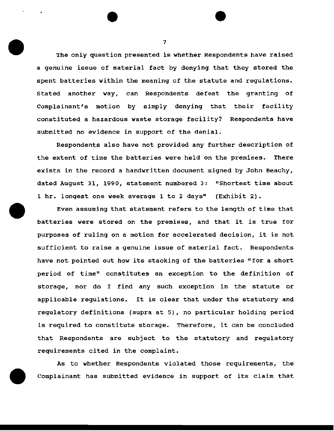The only question presented is whether Respondents have raised a genuine issue of material fact by denying that they stored the spent batteries within the meaning of the statute and regulations. stated another way, can Respondents defeat the granting of Complainant's motion by simply denying that their facility constituted a hazardous waste storage facility? Respondents have submitted no evidence in support of the denial.

Respondents also have not provided any further description of the extent of time the batteries were held on the premises. There exists in the record a handwritten document signed by John Beachy, dated August 31, 1990, statement numbered 3: "Shortest time about 1 hr. longest one week average 1 to 2 days" (Exhibit 2).

Even assuming that statement refers to the length of time that batteries were stored on the premises, and that it is true for purposes of ruling on a motion for accelerated decision, it is not sufficient to raise a genuine issue of material fact. Respondents have not pointed out how its stacking of the batteries "for a short period of time" constitutes an exception to the definition of storage, nor do I find any such exception in the statute or applicable regulations. It is clear that under the statutory and regulatory definitions (supra at 5), no particular holding period is required to constitute storage. Therefore, it can be concluded that Respondents are subject to the statutory and regulatory requirements cited in the complaint.

As to whether Respondents violated those requirements, the Complainant has submitted evidence in support of its claim that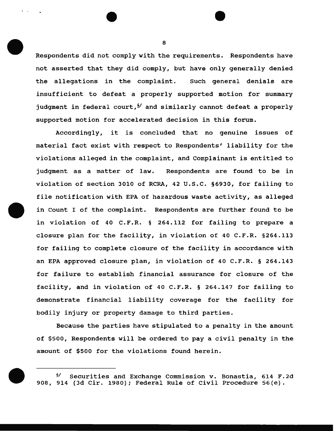Respondents did not comply with the requirements. Respondents have not asserted that they did comply, but have only generally denied the allegations in the complaint. Such general denials are insufficient to defeat a properly supported motion for summary judgment in federal court,  $\frac{1}{2}$  and similarly cannot defeat a properly supported motion for accelerated decision in this forum.

Accordingly, it is concluded that no genuine issues of material fact exist with respect to Respondents' liability for the violations alleged in the complaint, and complainant is entitled to judgment as a matter of law. Respondents are found to be in violation of section 3010 of RCRA, 42 u.s.c. §6930, for failing to file notification with EPA of hazardous waste activity, as alleged in Count I of the complaint. Respondents are further found to be in violation of 40 C.F.R. § 264.112 for failing to prepare a closure plan for the facility, in violation of 40 C.F.R. §264.113 for failing to complete closure of the facility in accordance with an EPA approved closure plan, in violation of 40 C.F.R. § 264.143 for failure to establish financial assurance for closure of the facility, and in violation of 40 C.F.R. § 264.147 for failing to demonstrate financial liability coverage for the facility for bodily injury or property damage to third parties.

Because the parties have stipulated to a penalty in the amount of \$500, Respondents will be ordered to pay a civil penalty in the amount of \$500 for the violations found herein.

 $4/$  Securities and Exchange Commission v. Bonastia, 614 F.2d 908, 914 (3d Cir. 1980); Federal Rule of Civil Procedure 56(e).